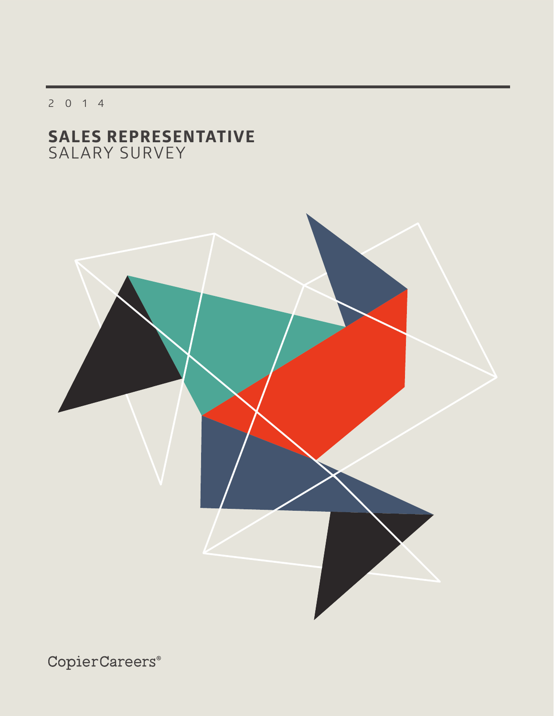2014

# **SALES REPRESENTATIVE** SALARY SURVEY

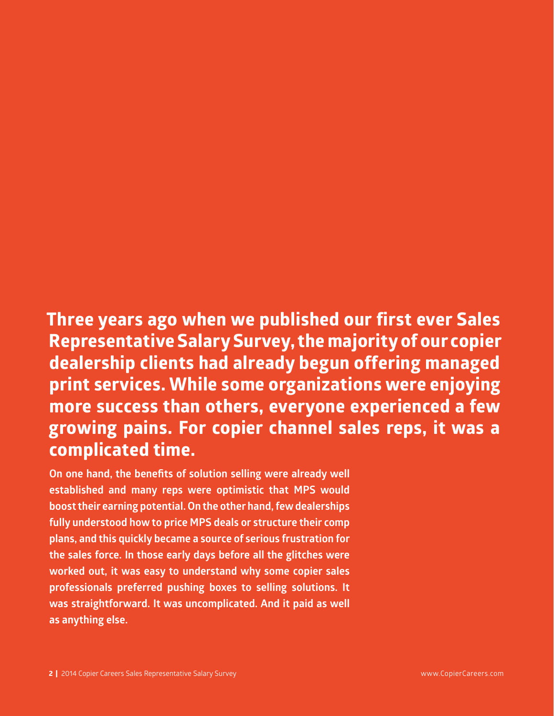# **Three years ago when we published our first ever Sales Representative Salary Survey, the majority of our copier dealership clients had already begun offering managed print services. While some organizations were enjoying more success than others, everyone experienced a few growing pains. For copier channel sales reps, it was a complicated time.**

**On one hand, the benefits of solution selling were already well established and many reps were optimistic that MPS would boost their earning potential. On the other hand, few dealerships fully understood how to price MPS deals or structure their comp plans, and this quickly became a source of serious frustration for the sales force. In those early days before all the glitches were worked out, it was easy to understand why some copier sales professionals preferred pushing boxes to selling solutions. It was straightforward. It was uncomplicated. And it paid as well as anything else.**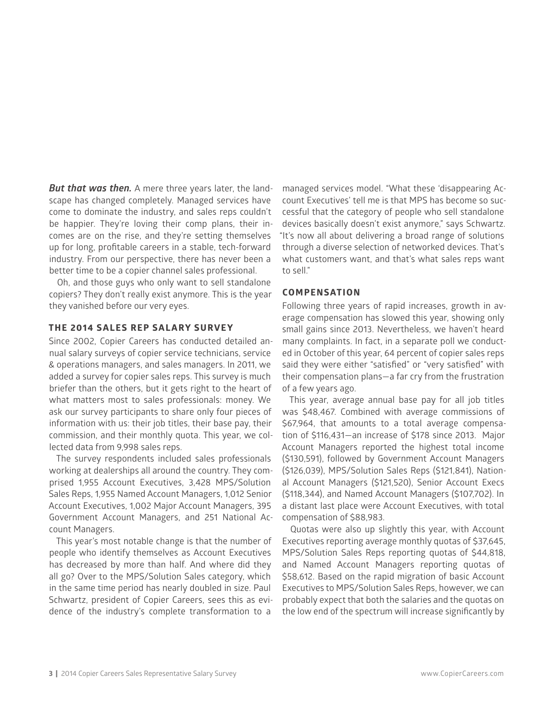*But that was then.* A mere three years later, the landscape has changed completely. Managed services have come to dominate the industry, and sales reps couldn't be happier. They're loving their comp plans, their incomes are on the rise, and they're setting themselves up for long, profitable careers in a stable, tech-forward industry. From our perspective, there has never been a better time to be a copier channel sales professional.

Oh, and those guys who only want to sell standalone copiers? They don't really exist anymore. This is the year they vanished before our very eyes.

## **THE 2014 SALES REP SALARY SURVEY**

Since 2002, Copier Careers has conducted detailed annual salary surveys of copier service technicians, service & operations managers, and sales managers. In 2011, we added a survey for copier sales reps. This survey is much briefer than the others, but it gets right to the heart of what matters most to sales professionals: money. We ask our survey participants to share only four pieces of information with us: their job titles, their base pay, their commission, and their monthly quota. This year, we collected data from 9,998 sales reps.

The survey respondents included sales professionals working at dealerships all around the country. They comprised 1,955 Account Executives, 3,428 MPS/Solution Sales Reps, 1,955 Named Account Managers, 1,012 Senior Account Executives, 1,002 Major Account Managers, 395 Government Account Managers, and 251 National Account Managers.

This year's most notable change is that the number of people who identify themselves as Account Executives has decreased by more than half. And where did they all go? Over to the MPS/Solution Sales category, which in the same time period has nearly doubled in size. Paul Schwartz, president of Copier Careers, sees this as evidence of the industry's complete transformation to a

managed services model. "What these 'disappearing Account Executives' tell me is that MPS has become so successful that the category of people who sell standalone devices basically doesn't exist anymore," says Schwartz. "It's now all about delivering a broad range of solutions through a diverse selection of networked devices. That's what customers want, and that's what sales reps want to sell."

#### **COMPENSATION**

Following three years of rapid increases, growth in average compensation has slowed this year, showing only small gains since 2013. Nevertheless, we haven't heard many complaints. In fact, in a separate poll we conducted in October of this year, 64 percent of copier sales reps said they were either "satisfied" or "very satisfied" with their compensation plans—a far cry from the frustration of a few years ago.

This year, average annual base pay for all job titles was \$48,467. Combined with average commissions of \$67,964, that amounts to a total average compensation of \$116,431—an increase of \$178 since 2013. Major Account Managers reported the highest total income (\$130,591), followed by Government Account Managers (\$126,039), MPS/Solution Sales Reps (\$121,841), National Account Managers (\$121,520), Senior Account Execs (\$118,344), and Named Account Managers (\$107,702). In a distant last place were Account Executives, with total compensation of \$88,983.

Quotas were also up slightly this year, with Account Executives reporting average monthly quotas of \$37,645, MPS/Solution Sales Reps reporting quotas of \$44,818, and Named Account Managers reporting quotas of \$58,612. Based on the rapid migration of basic Account Executives to MPS/Solution Sales Reps, however, we can probably expect that both the salaries and the quotas on the low end of the spectrum will increase significantly by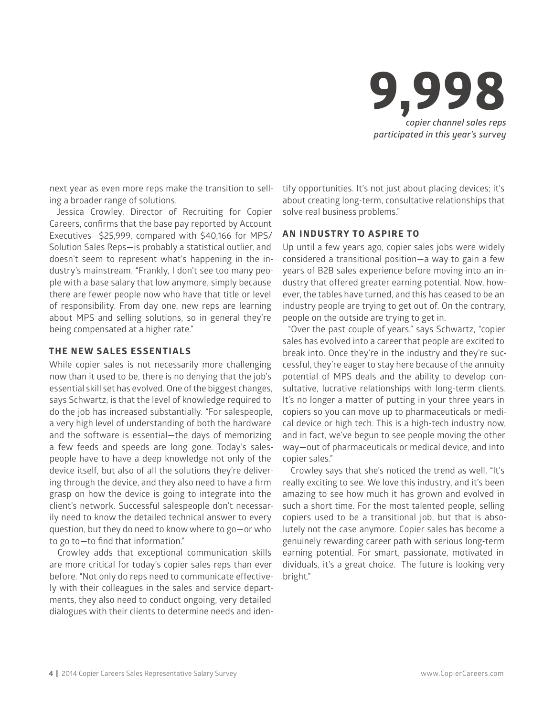

next year as even more reps make the transition to selling a broader range of solutions.

Jessica Crowley, Director of Recruiting for Copier Careers, confirms that the base pay reported by Account Executives—\$25,999, compared with \$40,166 for MPS/ Solution Sales Reps—is probably a statistical outlier, and doesn't seem to represent what's happening in the industry's mainstream. "Frankly, I don't see too many people with a base salary that low anymore, simply because there are fewer people now who have that title or level of responsibility. From day one, new reps are learning about MPS and selling solutions, so in general they're being compensated at a higher rate."

#### **THE NEW SALES ESSENTIALS**

While copier sales is not necessarily more challenging now than it used to be, there is no denying that the job's essential skill set has evolved. One of the biggest changes, says Schwartz, is that the level of knowledge required to do the job has increased substantially. "For salespeople, a very high level of understanding of both the hardware and the software is essential—the days of memorizing a few feeds and speeds are long gone. Today's salespeople have to have a deep knowledge not only of the device itself, but also of all the solutions they're delivering through the device, and they also need to have a firm grasp on how the device is going to integrate into the client's network. Successful salespeople don't necessarily need to know the detailed technical answer to every question, but they do need to know where to go—or who to go to—to find that information."

Crowley adds that exceptional communication skills are more critical for today's copier sales reps than ever before. "Not only do reps need to communicate effectively with their colleagues in the sales and service departments, they also need to conduct ongoing, very detailed dialogues with their clients to determine needs and identify opportunities. It's not just about placing devices; it's about creating long-term, consultative relationships that solve real business problems."

#### **AN INDUSTRY TO ASPIRE TO**

Up until a few years ago, copier sales jobs were widely considered a transitional position—a way to gain a few years of B2B sales experience before moving into an industry that offered greater earning potential. Now, however, the tables have turned, and this has ceased to be an industry people are trying to get out of. On the contrary, people on the outside are trying to get in.

"Over the past couple of years," says Schwartz, "copier sales has evolved into a career that people are excited to break into. Once they're in the industry and they're successful, they're eager to stay here because of the annuity potential of MPS deals and the ability to develop consultative, lucrative relationships with long-term clients. It's no longer a matter of putting in your three years in copiers so you can move up to pharmaceuticals or medical device or high tech. This is a high-tech industry now, and in fact, we've begun to see people moving the other way—out of pharmaceuticals or medical device, and into copier sales."

Crowley says that she's noticed the trend as well. "It's really exciting to see. We love this industry, and it's been amazing to see how much it has grown and evolved in such a short time. For the most talented people, selling copiers used to be a transitional job, but that is absolutely not the case anymore. Copier sales has become a genuinely rewarding career path with serious long-term earning potential. For smart, passionate, motivated individuals, it's a great choice. The future is looking very bright."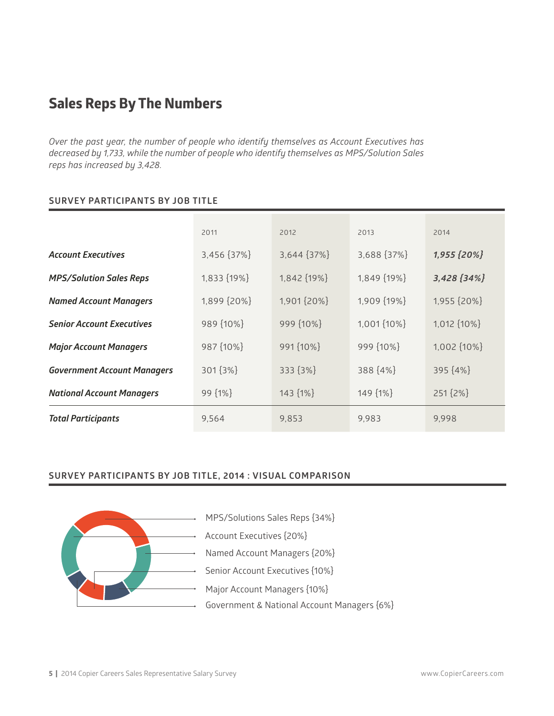# **Sales Reps By The Numbers**

*Over the past year, the number of people who identify themselves as Account Executives has decreased by 1,733, while the number of people who identify themselves as MPS/Solution Sales reps has increased by 3,428.*

## **SURVEY PARTICIPANTS BY JOB TITLE**

|                                    | 2011        | 2012        | 2013              | 2014        |
|------------------------------------|-------------|-------------|-------------------|-------------|
| <b>Account Executives</b>          | 3,456 {37%} | 3,644 {37%} | 3,688 {37%}       | 1,955 {20%} |
| <b>MPS/Solution Sales Reps</b>     | 1,833 {19%} | 1,842 {19%} | 1,849 {19%}       | 3,428 [34%] |
| <b>Named Account Managers</b>      | 1,899 {20%} | 1,901 {20%} | 1,909 {19%}       | 1,955 {20%} |
| <b>Senior Account Executives</b>   | 989 {10%}   | 999 {10%}   | 1,001 $\{10\% \}$ | 1,012 {10%} |
| <b>Major Account Managers</b>      | 987 {10%}   | 991 {10%}   | 999 {10%}         | 1,002 {10%} |
| <b>Government Account Managers</b> | 301 {3%}    | 333 {3%}    | 388 {4%}          | 395 {4%}    |
| <b>National Account Managers</b>   | 99 {1%}     | 143 ${1\%}$ | 149 {1%}          | 251 {2%}    |
| <b>Total Participants</b>          | 9,564       | 9,853       | 9,983             | 9,998       |

## **SURVEY PARTICIPANTS BY JOB TITLE, 2014 : VISUAL COMPARISON**



MPS/Solutions Sales Reps {34%}

Account Executives {20%}

Named Account Managers {20%}

Senior Account Executives {10%}

Major Account Managers {10%}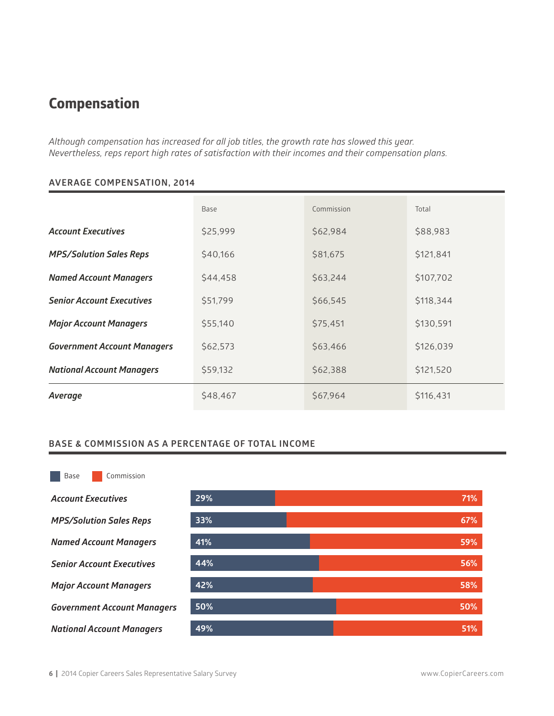# **Compensation**

*Although compensation has increased for all job titles, the growth rate has slowed this year. Nevertheless, reps report high rates of satisfaction with their incomes and their compensation plans.*

|                                    | Base     | Commission | Total     |
|------------------------------------|----------|------------|-----------|
| <b>Account Executives</b>          | \$25,999 | \$62,984   | \$88,983  |
| <b>MPS/Solution Sales Reps</b>     | \$40,166 | \$81,675   | \$121,841 |
| <b>Named Account Managers</b>      | \$44,458 | \$63,244   | \$107,702 |
| <b>Senior Account Executives</b>   | \$51,799 | \$66,545   | \$118,344 |
| <b>Major Account Managers</b>      | \$55,140 | \$75,451   | \$130,591 |
| <b>Government Account Managers</b> | \$62,573 | \$63,466   | \$126,039 |
| <b>National Account Managers</b>   | \$59,132 | \$62,388   | \$121,520 |
| Average                            | \$48,467 | \$67,964   | \$116,431 |

# **AVERAGE COMPENSATION, 2014**

# **BASE & COMMISSION AS A PERCENTAGE OF TOTAL INCOME**